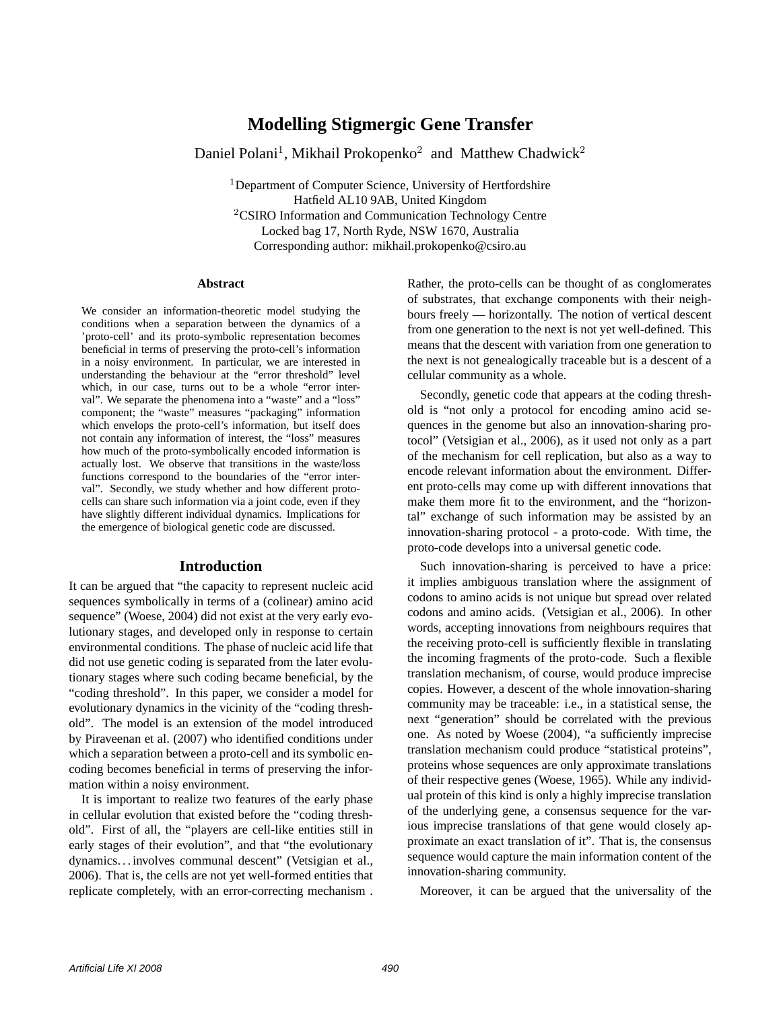# **Modelling Stigmergic Gene Transfer**

Daniel Polani<sup>1</sup>, Mikhail Prokopenko<sup>2</sup> and Matthew Chadwick<sup>2</sup>

<sup>1</sup>Department of Computer Science, University of Hertfordshire Hatfield AL10 9AB, United Kingdom <sup>2</sup>CSIRO Information and Communication Technology Centre Locked bag 17, North Ryde, NSW 1670, Australia Corresponding author: mikhail.prokopenko@csiro.au

#### **Abstract**

We consider an information-theoretic model studying the conditions when a separation between the dynamics of a 'proto-cell' and its proto-symbolic representation becomes beneficial in terms of preserving the proto-cell's information in a noisy environment. In particular, we are interested in understanding the behaviour at the "error threshold" level which, in our case, turns out to be a whole "error interval". We separate the phenomena into a "waste" and a "loss" component; the "waste" measures "packaging" information which envelops the proto-cell's information, but itself does not contain any information of interest, the "loss" measures how much of the proto-symbolically encoded information is actually lost. We observe that transitions in the waste/loss functions correspond to the boundaries of the "error interval". Secondly, we study whether and how different protocells can share such information via a joint code, even if they have slightly different individual dynamics. Implications for the emergence of biological genetic code are discussed.

#### **Introduction**

It can be argued that "the capacity to represent nucleic acid sequences symbolically in terms of a (colinear) amino acid sequence" (Woese, 2004) did not exist at the very early evolutionary stages, and developed only in response to certain environmental conditions. The phase of nucleic acid life that did not use genetic coding is separated from the later evolutionary stages where such coding became beneficial, by the "coding threshold". In this paper, we consider a model for evolutionary dynamics in the vicinity of the "coding threshold". The model is an extension of the model introduced by Piraveenan et al. (2007) who identified conditions under which a separation between a proto-cell and its symbolic encoding becomes beneficial in terms of preserving the information within a noisy environment.

It is important to realize two features of the early phase in cellular evolution that existed before the "coding threshold". First of all, the "players are cell-like entities still in early stages of their evolution", and that "the evolutionary dynamics. . . involves communal descent" (Vetsigian et al., 2006). That is, the cells are not yet well-formed entities that replicate completely, with an error-correcting mechanism .

Rather, the proto-cells can be thought of as conglomerates of substrates, that exchange components with their neighbours freely — horizontally. The notion of vertical descent from one generation to the next is not yet well-defined. This means that the descent with variation from one generation to the next is not genealogically traceable but is a descent of a cellular community as a whole.

Secondly, genetic code that appears at the coding threshold is "not only a protocol for encoding amino acid sequences in the genome but also an innovation-sharing protocol" (Vetsigian et al., 2006), as it used not only as a part of the mechanism for cell replication, but also as a way to encode relevant information about the environment. Different proto-cells may come up with different innovations that make them more fit to the environment, and the "horizontal" exchange of such information may be assisted by an innovation-sharing protocol - a proto-code. With time, the proto-code develops into a universal genetic code.

Such innovation-sharing is perceived to have a price: it implies ambiguous translation where the assignment of codons to amino acids is not unique but spread over related codons and amino acids. (Vetsigian et al., 2006). In other words, accepting innovations from neighbours requires that the receiving proto-cell is sufficiently flexible in translating the incoming fragments of the proto-code. Such a flexible translation mechanism, of course, would produce imprecise copies. However, a descent of the whole innovation-sharing community may be traceable: i.e., in a statistical sense, the next "generation" should be correlated with the previous one. As noted by Woese (2004), "a sufficiently imprecise translation mechanism could produce "statistical proteins", proteins whose sequences are only approximate translations of their respective genes (Woese, 1965). While any individual protein of this kind is only a highly imprecise translation of the underlying gene, a consensus sequence for the various imprecise translations of that gene would closely approximate an exact translation of it". That is, the consensus sequence would capture the main information content of the innovation-sharing community.

Moreover, it can be argued that the universality of the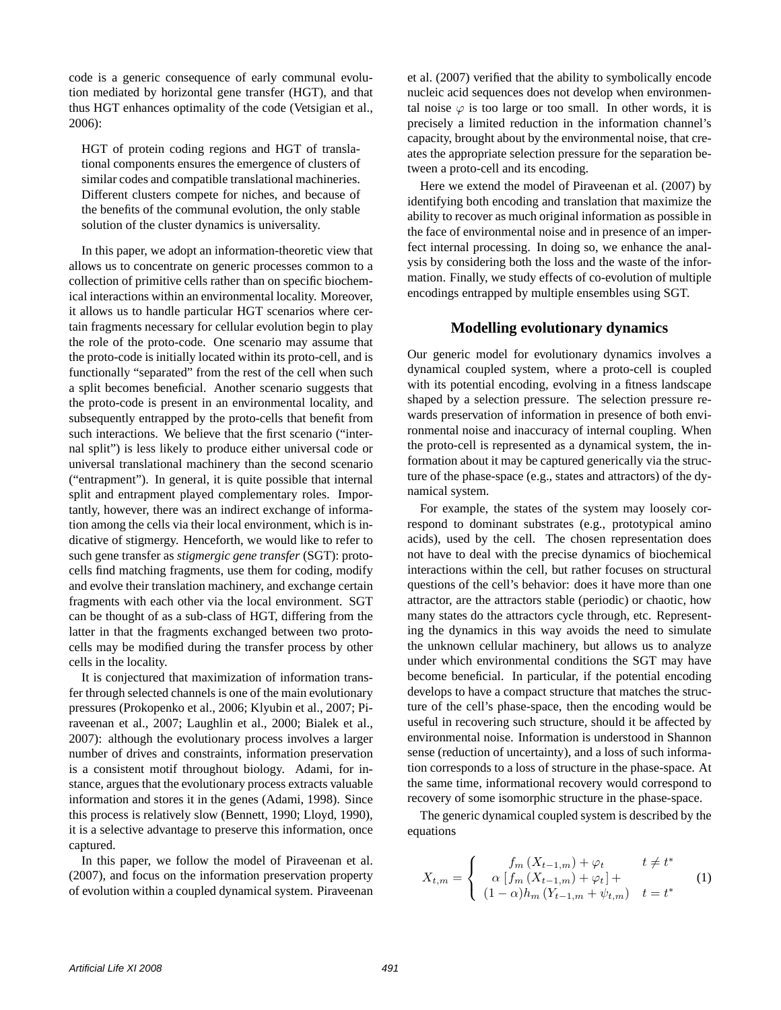code is a generic consequence of early communal evolution mediated by horizontal gene transfer (HGT), and that thus HGT enhances optimality of the code (Vetsigian et al., 2006):

HGT of protein coding regions and HGT of translational components ensures the emergence of clusters of similar codes and compatible translational machineries. Different clusters compete for niches, and because of the benefits of the communal evolution, the only stable solution of the cluster dynamics is universality.

In this paper, we adopt an information-theoretic view that allows us to concentrate on generic processes common to a collection of primitive cells rather than on specific biochemical interactions within an environmental locality. Moreover, it allows us to handle particular HGT scenarios where certain fragments necessary for cellular evolution begin to play the role of the proto-code. One scenario may assume that the proto-code is initially located within its proto-cell, and is functionally "separated" from the rest of the cell when such a split becomes beneficial. Another scenario suggests that the proto-code is present in an environmental locality, and subsequently entrapped by the proto-cells that benefit from such interactions. We believe that the first scenario ("internal split") is less likely to produce either universal code or universal translational machinery than the second scenario ("entrapment"). In general, it is quite possible that internal split and entrapment played complementary roles. Importantly, however, there was an indirect exchange of information among the cells via their local environment, which is indicative of stigmergy. Henceforth, we would like to refer to such gene transfer as *stigmergic gene transfer* (SGT): protocells find matching fragments, use them for coding, modify and evolve their translation machinery, and exchange certain fragments with each other via the local environment. SGT can be thought of as a sub-class of HGT, differing from the latter in that the fragments exchanged between two protocells may be modified during the transfer process by other cells in the locality.

It is conjectured that maximization of information transfer through selected channels is one of the main evolutionary pressures (Prokopenko et al., 2006; Klyubin et al., 2007; Piraveenan et al., 2007; Laughlin et al., 2000; Bialek et al., 2007): although the evolutionary process involves a larger number of drives and constraints, information preservation is a consistent motif throughout biology. Adami, for instance, argues that the evolutionary process extracts valuable information and stores it in the genes (Adami, 1998). Since this process is relatively slow (Bennett, 1990; Lloyd, 1990), it is a selective advantage to preserve this information, once captured.

In this paper, we follow the model of Piraveenan et al. (2007), and focus on the information preservation property of evolution within a coupled dynamical system. Piraveenan et al. (2007) verified that the ability to symbolically encode nucleic acid sequences does not develop when environmental noise  $\varphi$  is too large or too small. In other words, it is precisely a limited reduction in the information channel's capacity, brought about by the environmental noise, that creates the appropriate selection pressure for the separation between a proto-cell and its encoding.

Here we extend the model of Piraveenan et al. (2007) by identifying both encoding and translation that maximize the ability to recover as much original information as possible in the face of environmental noise and in presence of an imperfect internal processing. In doing so, we enhance the analysis by considering both the loss and the waste of the information. Finally, we study effects of co-evolution of multiple encodings entrapped by multiple ensembles using SGT.

# **Modelling evolutionary dynamics**

Our generic model for evolutionary dynamics involves a dynamical coupled system, where a proto-cell is coupled with its potential encoding, evolving in a fitness landscape shaped by a selection pressure. The selection pressure rewards preservation of information in presence of both environmental noise and inaccuracy of internal coupling. When the proto-cell is represented as a dynamical system, the information about it may be captured generically via the structure of the phase-space (e.g., states and attractors) of the dynamical system.

For example, the states of the system may loosely correspond to dominant substrates (e.g., prototypical amino acids), used by the cell. The chosen representation does not have to deal with the precise dynamics of biochemical interactions within the cell, but rather focuses on structural questions of the cell's behavior: does it have more than one attractor, are the attractors stable (periodic) or chaotic, how many states do the attractors cycle through, etc. Representing the dynamics in this way avoids the need to simulate the unknown cellular machinery, but allows us to analyze under which environmental conditions the SGT may have become beneficial. In particular, if the potential encoding develops to have a compact structure that matches the structure of the cell's phase-space, then the encoding would be useful in recovering such structure, should it be affected by environmental noise. Information is understood in Shannon sense (reduction of uncertainty), and a loss of such information corresponds to a loss of structure in the phase-space. At the same time, informational recovery would correspond to recovery of some isomorphic structure in the phase-space.

The generic dynamical coupled system is described by the equations

$$
X_{t,m} = \begin{cases} f_m(X_{t-1,m}) + \varphi_t & t \neq t^* \\ \alpha [f_m(X_{t-1,m}) + \varphi_t] + \\ (1 - \alpha)h_m(Y_{t-1,m} + \psi_{t,m}) & t = t^* \end{cases}
$$
(1)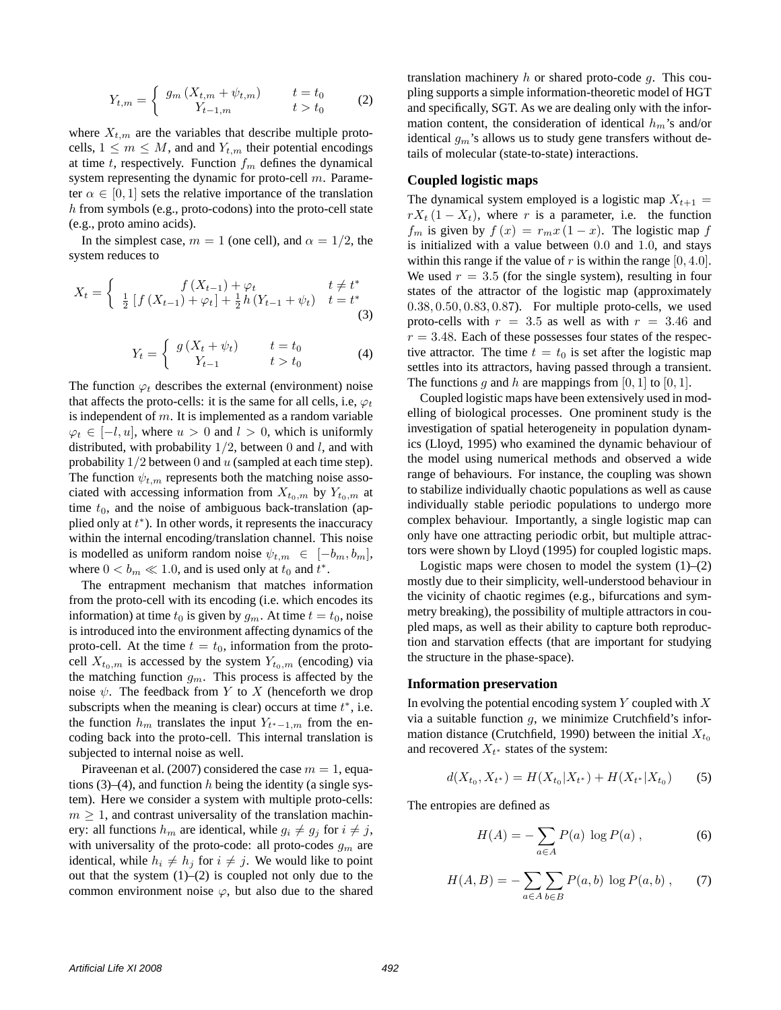$$
Y_{t,m} = \begin{cases} g_m (X_{t,m} + \psi_{t,m}) & t = t_0 \\ Y_{t-1,m} & t > t_0 \end{cases}
$$
 (2)

where  $X_{t,m}$  are the variables that describe multiple protocells,  $1 \leq m \leq M$ , and and  $Y_{t,m}$  their potential encodings at time t, respectively. Function  $f<sub>m</sub>$  defines the dynamical system representing the dynamic for proto-cell m. Parameter  $\alpha \in [0, 1]$  sets the relative importance of the translation h from symbols (e.g., proto-codons) into the proto-cell state (e.g., proto amino acids).

In the simplest case,  $m = 1$  (one cell), and  $\alpha = 1/2$ , the system reduces to

$$
X_{t} = \begin{cases} f(X_{t-1}) + \varphi_{t} & t \neq t^{*} \\ \frac{1}{2} \left[ f(X_{t-1}) + \varphi_{t} \right] + \frac{1}{2} h(Y_{t-1} + \psi_{t}) & t = t^{*} \end{cases}
$$
(3)

$$
Y_t = \begin{cases} g\left(X_t + \psi_t\right) & t = t_0 \\ Y_{t-1} & t > t_0 \end{cases} \tag{4}
$$

The function  $\varphi_t$  describes the external (environment) noise that affects the proto-cells: it is the same for all cells, i.e,  $\varphi_t$ is independent of  $m$ . It is implemented as a random variable  $\varphi_t \in [-l, u]$ , where  $u > 0$  and  $l > 0$ , which is uniformly distributed, with probability  $1/2$ , between 0 and l, and with probability  $1/2$  between 0 and  $u$  (sampled at each time step). The function  $\psi_{t,m}$  represents both the matching noise associated with accessing information from  $X_{t_0,m}$  by  $Y_{t_0,m}$  at time  $t_0$ , and the noise of ambiguous back-translation (applied only at  $t^*$ ). In other words, it represents the inaccuracy within the internal encoding/translation channel. This noise is modelled as uniform random noise  $\psi_{t,m} \in [-b_m, b_m]$ , where  $0 < b_m \ll 1.0$ , and is used only at  $t_0$  and  $t^*$ .

The entrapment mechanism that matches information from the proto-cell with its encoding (i.e. which encodes its information) at time  $t_0$  is given by  $g_m$ . At time  $t = t_0$ , noise is introduced into the environment affecting dynamics of the proto-cell. At the time  $t = t_0$ , information from the protocell  $X_{t_0,m}$  is accessed by the system  $Y_{t_0,m}$  (encoding) via the matching function  $g_m$ . This process is affected by the noise  $\psi$ . The feedback from Y to X (henceforth we drop subscripts when the meaning is clear) occurs at time  $t^*$ , i.e. the function  $h_m$  translates the input  $Y_{t^*-1,m}$  from the encoding back into the proto-cell. This internal translation is subjected to internal noise as well.

Piraveenan et al. (2007) considered the case  $m = 1$ , equations  $(3)$ – $(4)$ , and function h being the identity (a single system). Here we consider a system with multiple proto-cells:  $m \geq 1$ , and contrast universality of the translation machinery: all functions  $h_m$  are identical, while  $g_i \neq g_j$  for  $i \neq j$ , with universality of the proto-code: all proto-codes  $g_m$  are identical, while  $h_i \neq h_j$  for  $i \neq j$ . We would like to point out that the system  $(1)$ – $(2)$  is coupled not only due to the common environment noise  $\varphi$ , but also due to the shared translation machinery  $h$  or shared proto-code  $q$ . This coupling supports a simple information-theoretic model of HGT and specifically, SGT. As we are dealing only with the information content, the consideration of identical  $h_m$ 's and/or identical  $g_m$ 's allows us to study gene transfers without details of molecular (state-to-state) interactions.

#### **Coupled logistic maps**

The dynamical system employed is a logistic map  $X_{t+1} =$  $rX_t$  (1 –  $X_t$ ), where r is a parameter, i.e. the function  $f_m$  is given by  $f(x) = r_m x (1 - x)$ . The logistic map f is initialized with a value between 0.0 and 1.0, and stays within this range if the value of r is within the range  $[0, 4.0]$ . We used  $r = 3.5$  (for the single system), resulting in four states of the attractor of the logistic map (approximately 0.38, 0.50, 0.83, 0.87). For multiple proto-cells, we used proto-cells with  $r = 3.5$  as well as with  $r = 3.46$  and  $r = 3.48$ . Each of these possesses four states of the respective attractor. The time  $t = t_0$  is set after the logistic map settles into its attractors, having passed through a transient. The functions g and h are mappings from [0, 1] to [0, 1].

Coupled logistic maps have been extensively used in modelling of biological processes. One prominent study is the investigation of spatial heterogeneity in population dynamics (Lloyd, 1995) who examined the dynamic behaviour of the model using numerical methods and observed a wide range of behaviours. For instance, the coupling was shown to stabilize individually chaotic populations as well as cause individually stable periodic populations to undergo more complex behaviour. Importantly, a single logistic map can only have one attracting periodic orbit, but multiple attractors were shown by Lloyd (1995) for coupled logistic maps.

Logistic maps were chosen to model the system  $(1)$ – $(2)$ mostly due to their simplicity, well-understood behaviour in the vicinity of chaotic regimes (e.g., bifurcations and symmetry breaking), the possibility of multiple attractors in coupled maps, as well as their ability to capture both reproduction and starvation effects (that are important for studying the structure in the phase-space).

#### **Information preservation**

In evolving the potential encoding system  $Y$  coupled with  $X$ via a suitable function  $g$ , we minimize Crutchfield's information distance (Crutchfield, 1990) between the initial  $X_{t_0}$ and recovered  $X_{t^*}$  states of the system:

$$
d(X_{t_0}, X_{t^*}) = H(X_{t_0}|X_{t^*}) + H(X_{t^*}|X_{t_0})
$$
 (5)

The entropies are defined as

$$
H(A) = -\sum_{a \in A} P(a) \log P(a) , \qquad (6)
$$

$$
H(A, B) = -\sum_{a \in A} \sum_{b \in B} P(a, b) \log P(a, b) , \qquad (7)
$$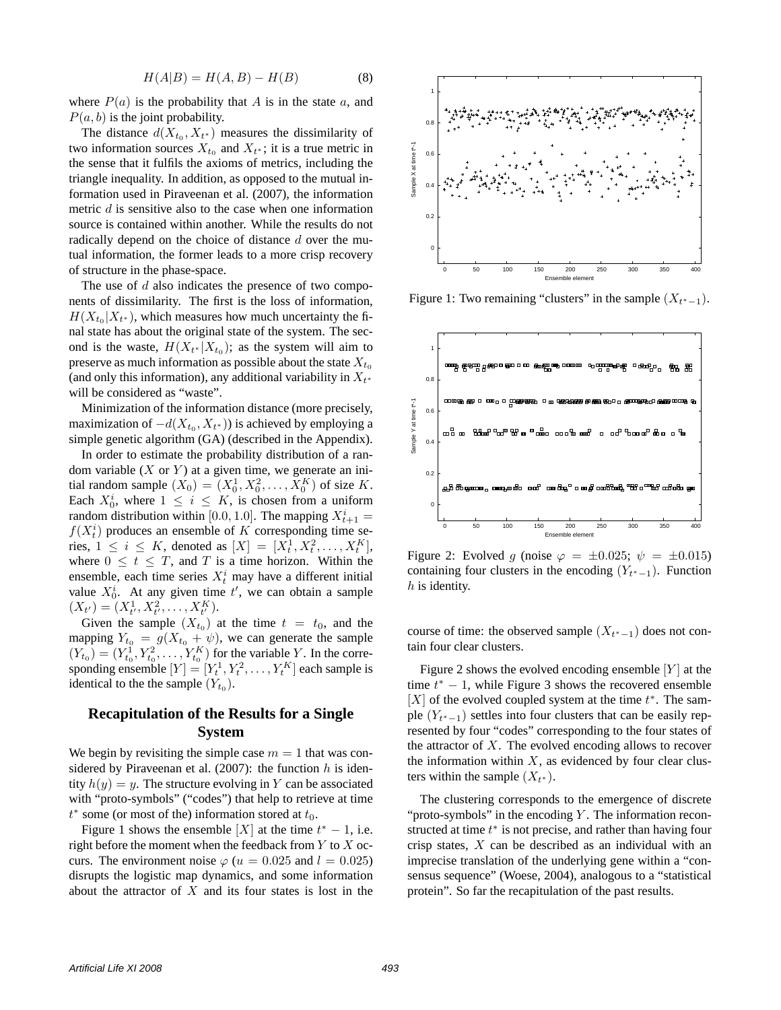$$
H(A|B) = H(A,B) - H(B)
$$
\n(8)

where  $P(a)$  is the probability that A is in the state a, and  $P(a, b)$  is the joint probability.

The distance  $d(X_{t_0}, X_{t^*})$  measures the dissimilarity of two information sources  $X_{t_0}$  and  $X_{t^*}$ ; it is a true metric in the sense that it fulfils the axioms of metrics, including the triangle inequality. In addition, as opposed to the mutual information used in Piraveenan et al. (2007), the information metric  $d$  is sensitive also to the case when one information source is contained within another. While the results do not radically depend on the choice of distance d over the mutual information, the former leads to a more crisp recovery of structure in the phase-space.

The use of  $d$  also indicates the presence of two components of dissimilarity. The first is the loss of information,  $H(X_{t_0}|X_{t^*})$ , which measures how much uncertainty the final state has about the original state of the system. The second is the waste,  $H(X_{t^*}|X_{t_0})$ ; as the system will aim to preserve as much information as possible about the state  $X_{t_0}$ (and only this information), any additional variability in  $X_{t^*}$ will be considered as "waste".

Minimization of the information distance (more precisely, maximization of  $-d(X_{t_0}, X_{t^*})$ ) is achieved by employing a simple genetic algorithm (GA) (described in the Appendix).

In order to estimate the probability distribution of a random variable  $(X \text{ or } Y)$  at a given time, we generate an initial random sample  $(X_0) = (X_0^1, X_0^2, \dots, X_0^K)$  of size K. Each  $X_0^i$ , where  $1 \leq i \leq K$ , is chosen from a uniform random distribution within [0.0, 1.0]. The mapping  $X_{t+1}^i =$  $f(X_t^i)$  produces an ensemble of K corresponding time series,  $1 \le i \le K$ , denoted as  $[X] = [X_t^1, X_t^2, \dots, X_t^K]$ , where  $0 \leq t \leq T$ , and T is a time horizon. Within the ensemble, each time series  $X_t^i$  may have a different initial value  $X_0^i$ . At any given time  $t'$ , we can obtain a sample  $(X_{t'}) = (X_{t'}^1, X_{t'}^2, \ldots, X_{t'}^K).$ 

Given the sample  $(X_{t_0})$  at the time  $t = t_0$ , and the mapping  $Y_{t_0} = g(X_{t_0} + \psi)$ , we can generate the sample  $(Y_{t_0}) = (Y_{t_0}^1, Y_{t_0}^2, \dots, Y_{t_0}^K)$  for the variable Y. In the corresponding ensemble  $[Y] = [Y_t^1, Y_t^2, \dots, Y_t^K]$  each sample is identical to the the sample  $(Y_{t_0})$ .

# **Recapitulation of the Results for a Single System**

We begin by revisiting the simple case  $m = 1$  that was considered by Piraveenan et al. (2007): the function  $h$  is identity  $h(y) = y$ . The structure evolving in Y can be associated with "proto-symbols" ("codes") that help to retrieve at time  $t^*$  some (or most of the) information stored at  $t_0$ .

Figure 1 shows the ensemble [X] at the time  $t^* - 1$ , i.e. right before the moment when the feedback from  $Y$  to  $X$  occurs. The environment noise  $\varphi$  ( $u = 0.025$  and  $l = 0.025$ ) disrupts the logistic map dynamics, and some information about the attractor of  $X$  and its four states is lost in the



Figure 1: Two remaining "clusters" in the sample  $(X_{t^*-1})$ .



Figure 2: Evolved g (noise  $\varphi = \pm 0.025$ ;  $\psi = \pm 0.015$ ) containing four clusters in the encoding  $(Y_{t^*-1})$ . Function h is identity.

course of time: the observed sample  $(X_{t^*-1})$  does not contain four clear clusters.

Figure 2 shows the evolved encoding ensemble  $[Y]$  at the time  $t^* - 1$ , while Figure 3 shows the recovered ensemble  $[X]$  of the evolved coupled system at the time  $t^*$ . The sample  $(Y_{t^*-1})$  settles into four clusters that can be easily represented by four "codes" corresponding to the four states of the attractor of  $X$ . The evolved encoding allows to recover the information within  $X$ , as evidenced by four clear clusters within the sample  $(X_{t^*})$ .

The clustering corresponds to the emergence of discrete "proto-symbols" in the encoding  $Y$ . The information reconstructed at time  $t^*$  is not precise, and rather than having four crisp states, X can be described as an individual with an imprecise translation of the underlying gene within a "consensus sequence" (Woese, 2004), analogous to a "statistical protein". So far the recapitulation of the past results.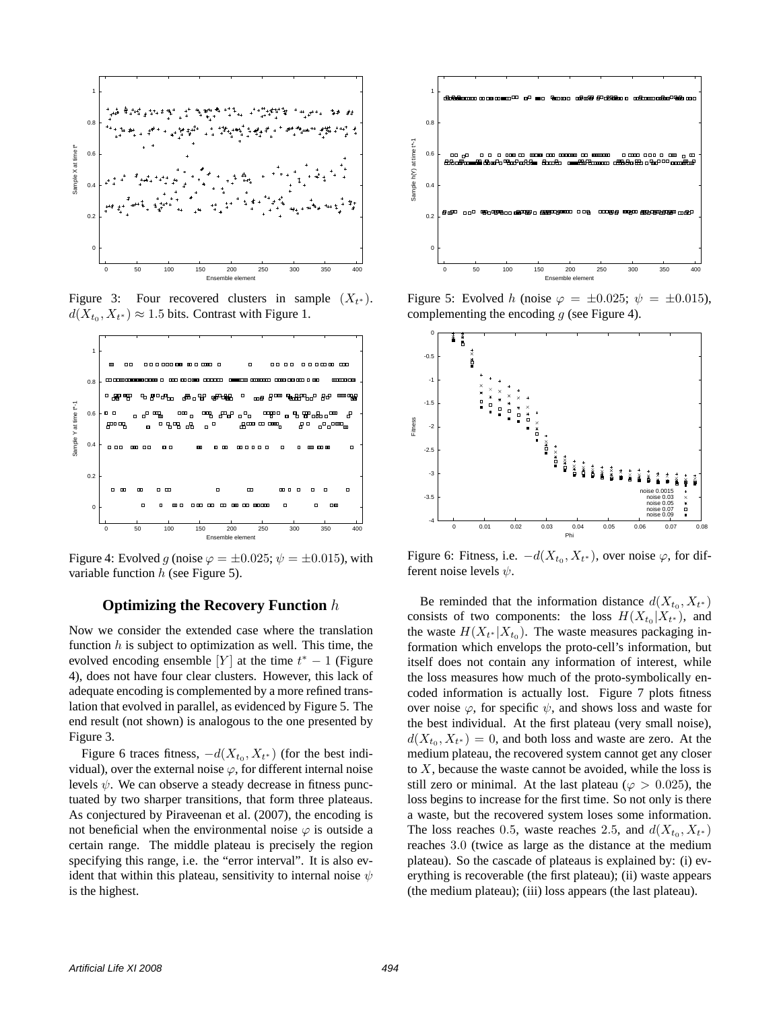

Figure 3: Four recovered clusters in sample  $(X_{t^*})$ .  $d(X_{t_0}, X_{t^*}) \approx 1.5$  bits. Contrast with Figure 1.



Figure 4: Evolved g (noise  $\varphi = \pm 0.025$ ;  $\psi = \pm 0.015$ ), with variable function  $h$  (see Figure 5).

# **Optimizing the Recovery Function** h

Now we consider the extended case where the translation function  $h$  is subject to optimization as well. This time, the evolved encoding ensemble [Y] at the time  $t^* - 1$  (Figure 4), does not have four clear clusters. However, this lack of adequate encoding is complemented by a more refined translation that evolved in parallel, as evidenced by Figure 5. The end result (not shown) is analogous to the one presented by Figure 3.

Figure 6 traces fitness,  $-d(X_{t_0}, X_{t^*})$  (for the best individual), over the external noise  $\varphi$ , for different internal noise levels  $\psi$ . We can observe a steady decrease in fitness punctuated by two sharper transitions, that form three plateaus. As conjectured by Piraveenan et al. (2007), the encoding is not beneficial when the environmental noise  $\varphi$  is outside a certain range. The middle plateau is precisely the region specifying this range, i.e. the "error interval". It is also evident that within this plateau, sensitivity to internal noise  $\psi$ is the highest.



Figure 5: Evolved h (noise  $\varphi = \pm 0.025$ ;  $\psi = \pm 0.015$ ), complementing the encoding  $g$  (see Figure 4).



Figure 6: Fitness, i.e.  $-d(X_{t_0}, X_{t^*})$ , over noise  $\varphi$ , for different noise levels  $\psi$ .

Be reminded that the information distance  $d(X_{t_0}, X_{t^*})$ consists of two components: the loss  $H(X_{t_0}|X_{t^*})$ , and the waste  $H(X_{t^*}|X_{t_0})$ . The waste measures packaging information which envelops the proto-cell's information, but itself does not contain any information of interest, while the loss measures how much of the proto-symbolically encoded information is actually lost. Figure 7 plots fitness over noise  $\varphi$ , for specific  $\psi$ , and shows loss and waste for the best individual. At the first plateau (very small noise),  $d(X_{t_0}, X_{t^*}) = 0$ , and both loss and waste are zero. At the medium plateau, the recovered system cannot get any closer to  $X$ , because the waste cannot be avoided, while the loss is still zero or minimal. At the last plateau ( $\varphi > 0.025$ ), the loss begins to increase for the first time. So not only is there a waste, but the recovered system loses some information. The loss reaches 0.5, waste reaches 2.5, and  $d(X_{t_0}, X_{t^*})$ reaches 3.0 (twice as large as the distance at the medium plateau). So the cascade of plateaus is explained by: (i) everything is recoverable (the first plateau); (ii) waste appears (the medium plateau); (iii) loss appears (the last plateau).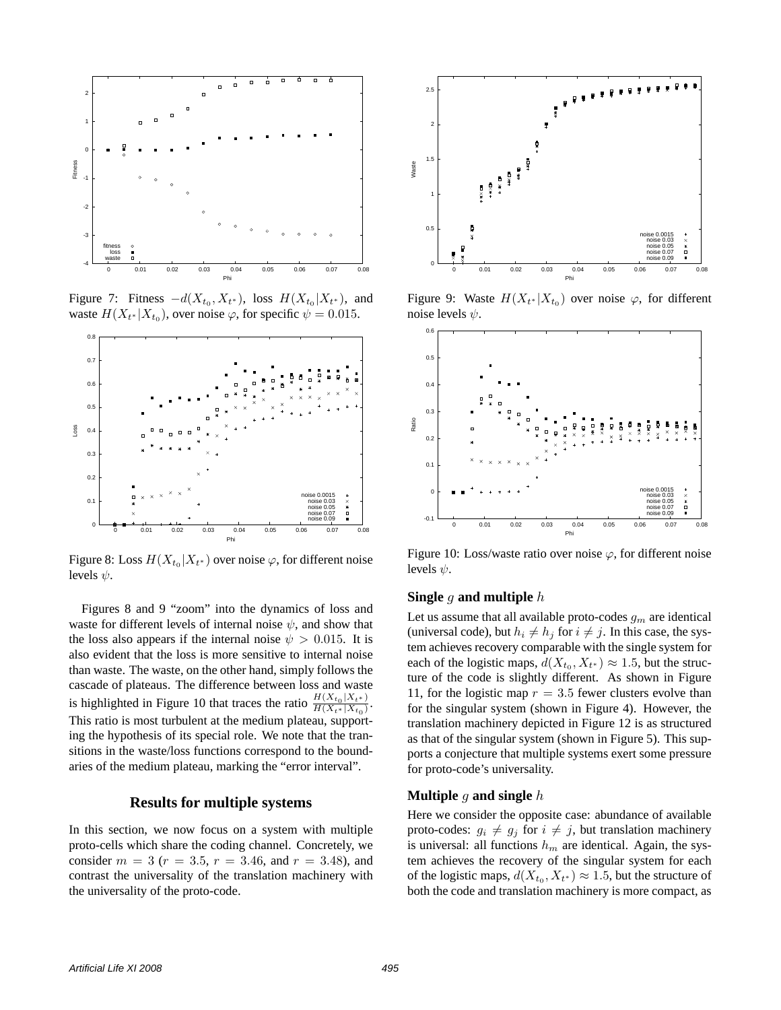

Figure 7: Fitness  $-d(X_{t_0}, X_{t^*})$ , loss  $H(X_{t_0}|X_{t^*})$ , and waste  $H(X_{t^*}|X_{t_0})$ , over noise  $\varphi$ , for specific  $\psi = 0.015$ .



Figure 8: Loss  $H(X_{t_0}|X_{t^*})$  over noise  $\varphi,$  for different noise levels  $\psi$ .

Figures 8 and 9 "zoom" into the dynamics of loss and waste for different levels of internal noise  $\psi$ , and show that the loss also appears if the internal noise  $\psi > 0.015$ . It is also evident that the loss is more sensitive to internal noise than waste. The waste, on the other hand, simply follows the cascade of plateaus. The difference between loss and waste is highlighted in Figure 10 that traces the ratio  $\frac{H(X_{t_0}|X_{t^*})}{H(X_{t_0}|X_t)}$  $H(X_{t*}|X_{t_0})$ . This ratio is most turbulent at the medium plateau, supporting the hypothesis of its special role. We note that the transitions in the waste/loss functions correspond to the boundaries of the medium plateau, marking the "error interval".

#### **Results for multiple systems**

In this section, we now focus on a system with multiple proto-cells which share the coding channel. Concretely, we consider  $m = 3$  ( $r = 3.5$ ,  $r = 3.46$ , and  $r = 3.48$ ), and contrast the universality of the translation machinery with the universality of the proto-code.



Figure 9: Waste  $H(X_{t^*}|X_{t_0})$  over noise  $\varphi$ , for different noise levels  $\psi$ .



Figure 10: Loss/waste ratio over noise  $\varphi$ , for different noise levels  $\psi$ .

#### **Single** g **and multiple** h

Let us assume that all available proto-codes  $g_m$  are identical (universal code), but  $h_i \neq h_j$  for  $i \neq j$ . In this case, the system achieves recovery comparable with the single system for each of the logistic maps,  $d(X_{t_0}, X_{t^*}) \approx 1.5$ , but the structure of the code is slightly different. As shown in Figure 11, for the logistic map  $r = 3.5$  fewer clusters evolve than for the singular system (shown in Figure 4). However, the translation machinery depicted in Figure 12 is as structured as that of the singular system (shown in Figure 5). This supports a conjecture that multiple systems exert some pressure for proto-code's universality.

# **Multiple** g **and single** h

Here we consider the opposite case: abundance of available proto-codes:  $g_i \neq g_j$  for  $i \neq j$ , but translation machinery is universal: all functions  $h_m$  are identical. Again, the system achieves the recovery of the singular system for each of the logistic maps,  $d(X_{t_0}, X_{t^*}) \approx 1.5$ , but the structure of both the code and translation machinery is more compact, as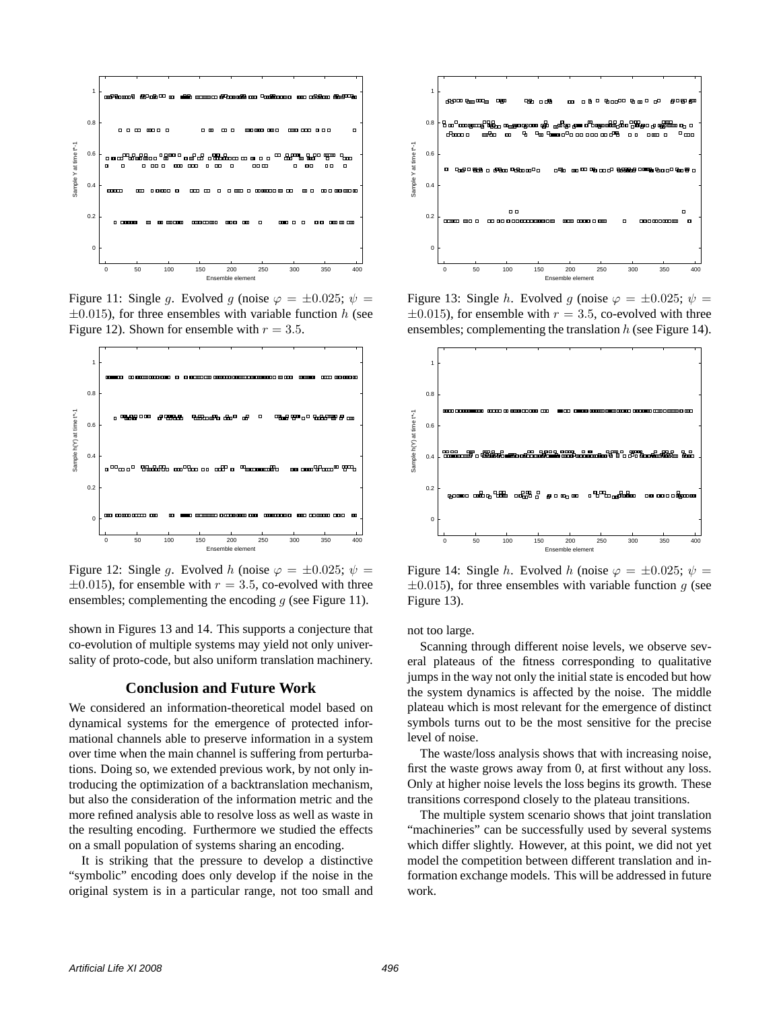

Figure 11: Single g. Evolved g (noise  $\varphi = \pm 0.025$ ;  $\psi =$  $\pm 0.015$ ), for three ensembles with variable function h (see Figure 12). Shown for ensemble with  $r = 3.5$ .



Figure 12: Single q. Evolved h (noise  $\varphi = \pm 0.025$ ;  $\psi =$  $\pm 0.015$ ), for ensemble with  $r = 3.5$ , co-evolved with three ensembles; complementing the encoding  $g$  (see Figure 11).

shown in Figures 13 and 14. This supports a conjecture that co-evolution of multiple systems may yield not only universality of proto-code, but also uniform translation machinery.

# **Conclusion and Future Work**

We considered an information-theoretical model based on dynamical systems for the emergence of protected informational channels able to preserve information in a system over time when the main channel is suffering from perturbations. Doing so, we extended previous work, by not only introducing the optimization of a backtranslation mechanism, but also the consideration of the information metric and the more refined analysis able to resolve loss as well as waste in the resulting encoding. Furthermore we studied the effects on a small population of systems sharing an encoding.

It is striking that the pressure to develop a distinctive "symbolic" encoding does only develop if the noise in the original system is in a particular range, not too small and



Figure 13: Single h. Evolved g (noise  $\varphi = \pm 0.025$ ;  $\psi =$  $\pm 0.015$ ), for ensemble with  $r = 3.5$ , co-evolved with three ensembles; complementing the translation  $h$  (see Figure 14).



Figure 14: Single h. Evolved h (noise  $\varphi = \pm 0.025$ ;  $\psi =$  $\pm 0.015$ ), for three ensembles with variable function g (see Figure 13).

not too large.

Scanning through different noise levels, we observe several plateaus of the fitness corresponding to qualitative jumps in the way not only the initial state is encoded but how the system dynamics is affected by the noise. The middle plateau which is most relevant for the emergence of distinct symbols turns out to be the most sensitive for the precise level of noise.

The waste/loss analysis shows that with increasing noise, first the waste grows away from 0, at first without any loss. Only at higher noise levels the loss begins its growth. These transitions correspond closely to the plateau transitions.

The multiple system scenario shows that joint translation "machineries" can be successfully used by several systems which differ slightly. However, at this point, we did not yet model the competition between different translation and information exchange models. This will be addressed in future work.